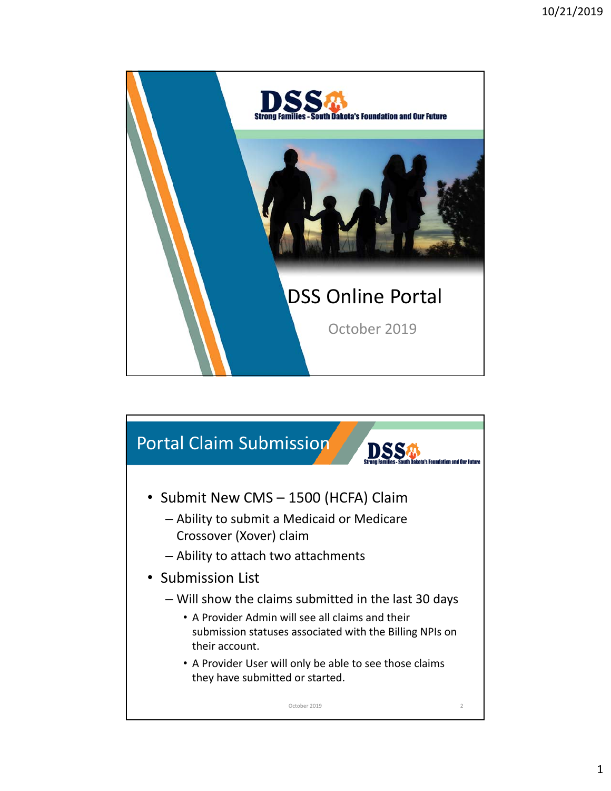

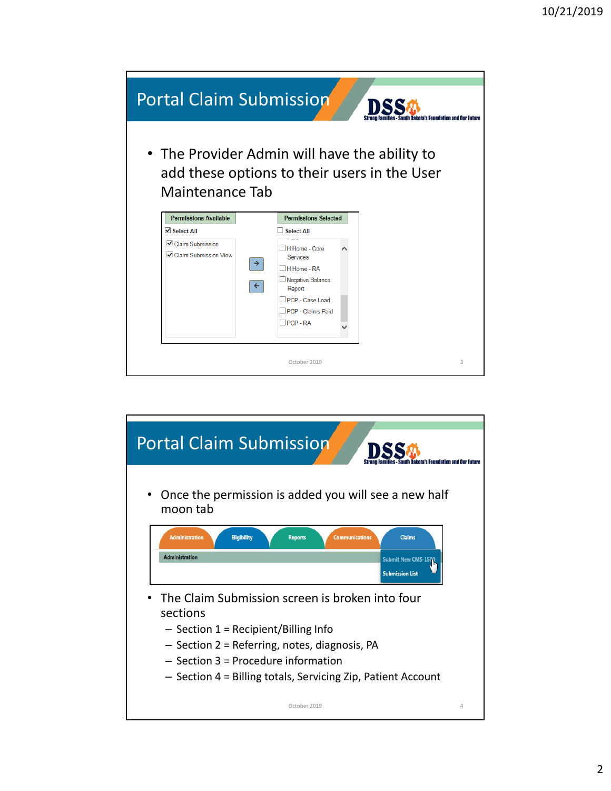

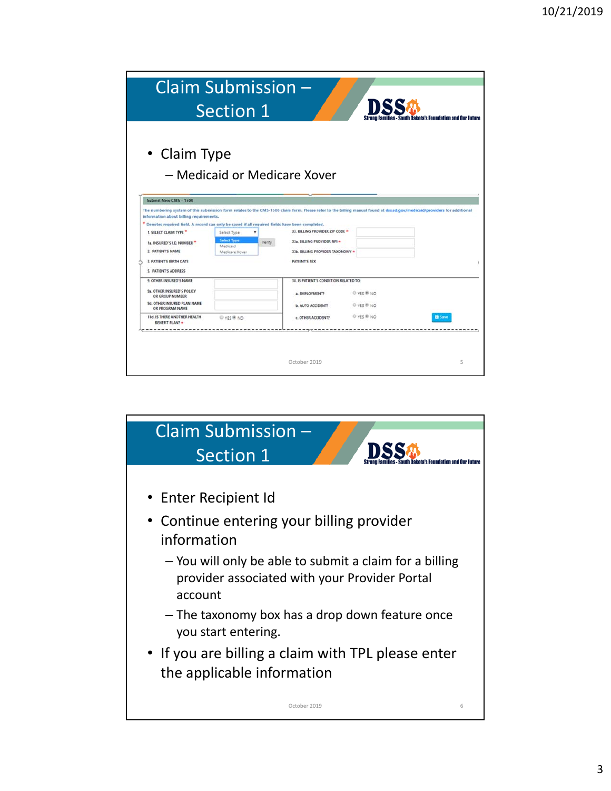|                                                                                                                                                                                                                                                                                | Claim Submission -<br><b>Section 1</b>                             |                                                                                                                                                                                                                                                                                                         |                          | <b>: - South Dakota's Foundation and Our Future</b> |
|--------------------------------------------------------------------------------------------------------------------------------------------------------------------------------------------------------------------------------------------------------------------------------|--------------------------------------------------------------------|---------------------------------------------------------------------------------------------------------------------------------------------------------------------------------------------------------------------------------------------------------------------------------------------------------|--------------------------|-----------------------------------------------------|
| • Claim Type                                                                                                                                                                                                                                                                   | - Medicaid or Medicare Xover                                       |                                                                                                                                                                                                                                                                                                         |                          |                                                     |
| Submit New CMS - 1500                                                                                                                                                                                                                                                          |                                                                    |                                                                                                                                                                                                                                                                                                         |                          |                                                     |
| information about billing requirements.<br>* Denotes required field. A record can only be saved if all required fields have been completed.<br>1. SELECT CLAIM TYPE<br>1a. INSURED'S LD. NUMBER<br>2. PATIENT'S NAME<br><b>3. PATIENT'S BIRTH DATE</b><br>5. PATIENT'S ADDRESS | Select Type<br>Select Type<br>Verify<br>Medicaid<br>Medicare Xover | The numbering system of this submission form relates to the CMS-1500 claim form. Please refer to the billing manual found at dss.sd.gov/medicaid/providers for additional<br>33. BILLING PROVIDER ZIP CODE *<br>33a. BILLING PROVIDER NPI +<br>33b. BILLING PROVIDER TAXONOMY +<br><b>PATIENT'S SEX</b> |                          |                                                     |
| 9. OTHER INSURED'S NAME<br><b>9a. OTHER INSURED'S POLICY</b><br>OR GROUP NUMBER<br><b>9d. OTHER INSURED PLAN NAME</b><br>OR PROGRAM NAME                                                                                                                                       |                                                                    | 10. IS PATIENT'S CONDITION RELATED TO:<br>a. EMPLOYMENT?<br><b>b. AUTO ACCIDENT?</b>                                                                                                                                                                                                                    | © YES ® NO<br>© ygs ® NO |                                                     |
| 11d. IS THERE ANOTHER HEALTH<br><b>BENEFIT PLAN? =</b>                                                                                                                                                                                                                         | O YES ® NO                                                         | c. OTHER ACCIDENT?                                                                                                                                                                                                                                                                                      | O YES ® NO               | <b>B</b> Save                                       |
|                                                                                                                                                                                                                                                                                |                                                                    | October 2019                                                                                                                                                                                                                                                                                            |                          | 5                                                   |

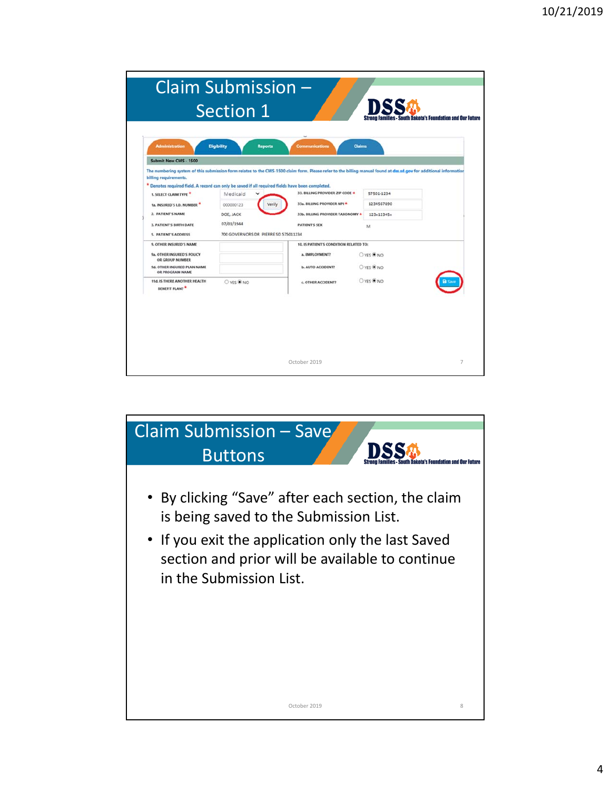| Submit New CMS - 1500                                                                            |                                      | The numbering system of this submission form relates to the CMS-1500 claim form. Please refer to the billing manual found at dss.sd.gov for additional informatior |            |  |
|--------------------------------------------------------------------------------------------------|--------------------------------------|--------------------------------------------------------------------------------------------------------------------------------------------------------------------|------------|--|
| billing requirements.                                                                            |                                      |                                                                                                                                                                    |            |  |
| * Denotes required field. A record can only be saved if all required fields have been completed. |                                      | 33. BILLING PROVIDER ZIP CODE +                                                                                                                                    | 57501-1234 |  |
| 1. SELECT CLAIM TYPE                                                                             | Medicaid                             |                                                                                                                                                                    | 1234567890 |  |
| 1a. INSURED'S LD. NUMBER                                                                         | 000000123<br>Verify                  | 33a. BILLING PROVIDER NPI *                                                                                                                                        |            |  |
| 2. PATIENT'S NAME                                                                                | DOE, JACK                            | 33b. BILLING PROVIDER TAXONOMY *                                                                                                                                   | 123x12345x |  |
| <b>3. PATIENT'S BIRTH DATE</b>                                                                   | 07/01/1944                           | <b>PATIENT'S SEX</b>                                                                                                                                               | M          |  |
| <b>5. PATIENT'S ADDRESS</b>                                                                      | 700 GOVERNORS DR PIERRE SD 575011234 |                                                                                                                                                                    |            |  |
| 9. OTHER INSURED'S NAME                                                                          |                                      | 10. IS PATIENT'S CONDITION RELATED TO:                                                                                                                             |            |  |
| 9a. OTHER INSURED'S POLICY<br>OR GROUP NUMBER                                                    |                                      | a. EMPLOYMENT?                                                                                                                                                     | O YES ONO  |  |
| 9d. OTHER INSURED PLAN NAME<br>OR PROGRAM NAME                                                   |                                      | <b>b. AUTO ACCIDENT?</b>                                                                                                                                           | O YES O NO |  |
| 11d. IS THERE ANOTHER HEALTH<br><b>BENEFIT PLAN?</b>                                             | ○ YES ● NO                           | c. OTHER ACCIDENT?                                                                                                                                                 | O YES ONO  |  |
|                                                                                                  |                                      |                                                                                                                                                                    |            |  |

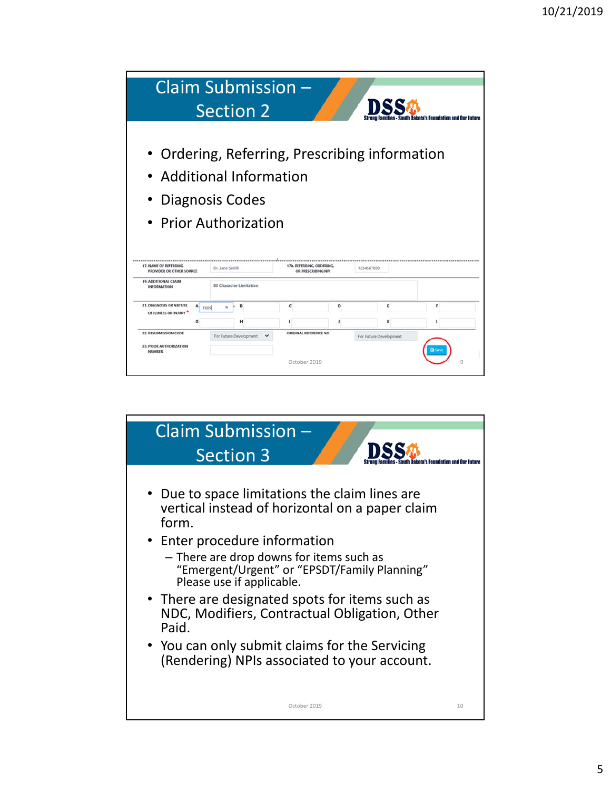| Claim Submission -                                                                                                       |                | <b>Section 2</b>        |                                       |                    |                        | <b>South Dakota's Foundation and Our</b> |  |
|--------------------------------------------------------------------------------------------------------------------------|----------------|-------------------------|---------------------------------------|--------------------|------------------------|------------------------------------------|--|
| • Ordering, Referring, Prescribing information<br>• Additional Information<br>• Diagnosis Codes<br>• Prior Authorization |                |                         |                                       |                    |                        |                                          |  |
| 17. NAME OF REFERRING<br>PROVIDER OR OTHER SOURCE                                                                        | Dr. Jane Smith |                         | 17b. REFERRING, ORDERING              | OR PRESCRIBING NPI | 1234567890             |                                          |  |
| 19. ADDITIONAL CLAIM<br><b>INFORMATION</b>                                                                               |                | 80 Character Limitation |                                       |                    |                        |                                          |  |
| <b>21. DIAGNOSIS OR NATURE</b><br>A<br><b>F809</b><br>OF ILLNESS OR INJURY                                               |                |                         | c                                     | D                  | Ε                      | F                                        |  |
|                                                                                                                          |                |                         |                                       |                    |                        |                                          |  |
| 22, RESUBMISSION CODE<br>23. PRIOR AUTHORIZATION<br><b>NUMBER</b>                                                        |                | For Future Development  | ORIGINAL REFERENCE NO<br>October 2019 |                    | For Future Development |                                          |  |

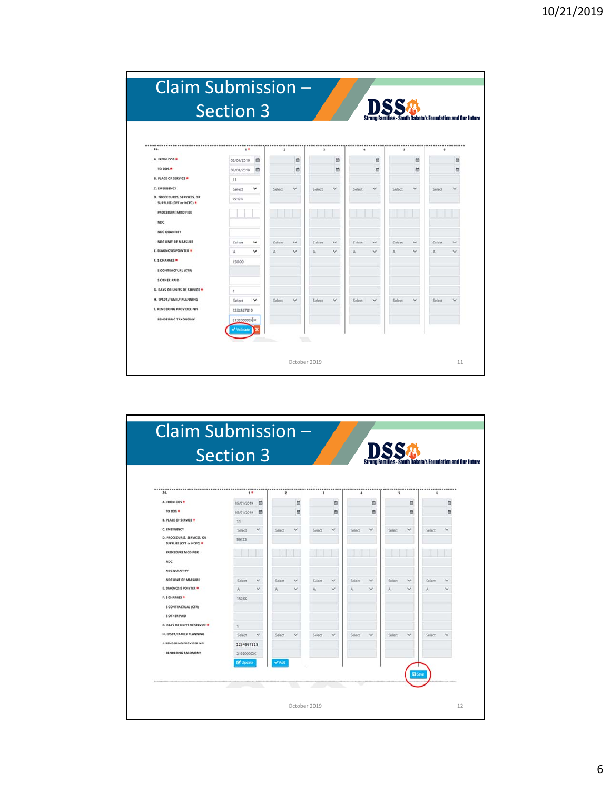|                                                         | <b>Section 3</b> |              |                |                      |             |              |        |              |              |              | <b>Families - South Dakota's Foundation and Our Future</b> |              |
|---------------------------------------------------------|------------------|--------------|----------------|----------------------|-------------|--------------|--------|--------------|--------------|--------------|------------------------------------------------------------|--------------|
| 24.                                                     | $1*$             |              | $\overline{z}$ |                      | $\mathbf 1$ |              | ٠      |              | $\mathbf{x}$ |              | $\epsilon$                                                 | -----------  |
| A. FROM DOS *                                           | 05/01/2019       | ö            |                | th                   |             | 茴            |        | 茴            |              | 曲            |                                                            | e            |
| TO DOS $\bullet$                                        | 05/01/2019       | 曲            |                | 茴                    |             | 曲            |        | m            |              | 曲            |                                                            | 茴            |
| <b>B. PLACE OF SERVICE *</b>                            | 11               |              |                |                      |             |              |        |              |              |              |                                                            |              |
| C. IMERGENCY                                            | Select           | $\checkmark$ | Select         | $\checkmark$         | Select      | $\checkmark$ | Select | $\checkmark$ | Select       | $\checkmark$ | Select                                                     | $\checkmark$ |
| D. PROCEDURES, SERVICES, OR<br>SUPPLIES (CPT or HCPC) * | 99123            |              |                |                      |             |              |        |              |              |              |                                                            |              |
| PROCEDURE MODIFIER                                      |                  |              |                |                      |             |              |        |              |              |              |                                                            |              |
| <b>NDC</b>                                              |                  |              |                |                      |             |              |        |              |              |              |                                                            |              |
| NDC QUANTITY                                            |                  |              |                |                      |             |              |        |              |              |              |                                                            |              |
| NDC UNIT OF MEASURE                                     | Select           | $\checkmark$ | Select         | $\ddot{\phantom{0}}$ | Select      | $\checkmark$ | Select | $\checkmark$ | Select       | $\checkmark$ | Select                                                     | $\checkmark$ |
| <b>E. DIAGNOSIS POINTER *</b>                           | A                | v            | A              | $\checkmark$         | A           | $\checkmark$ | A      | v            | Ä            | $\checkmark$ | Ä                                                          | $\checkmark$ |
| F. S CHARGES .                                          | 150.00           |              |                |                      |             |              |        |              |              |              |                                                            |              |
| <b>S CONTRACTUAL (CTR)</b>                              |                  |              |                |                      |             |              |        |              |              |              |                                                            |              |
| <b>S OTHER PAID</b>                                     |                  |              |                |                      |             |              |        |              |              |              |                                                            |              |
| <b>G. DAYS OR UNITS OF SERVICE .</b>                    | 4                |              |                |                      |             |              |        |              |              |              |                                                            |              |
| H. EPSDT/FAMILY PLANNING                                | Select           | $\checkmark$ | Select         | v                    | Select      | $\checkmark$ | Select | v            | Select       | v            | Select                                                     | v            |
| J. RENDERING PROVIDER NPL                               | 1234567819       |              |                |                      |             |              |        |              |              |              |                                                            |              |
| RENDERING TAXONOMY                                      | 213E000003 X     |              |                |                      |             |              |        |              |              |              |                                                            |              |
|                                                         | Validate         |              |                |                      |             |              |        |              |              |              |                                                            |              |

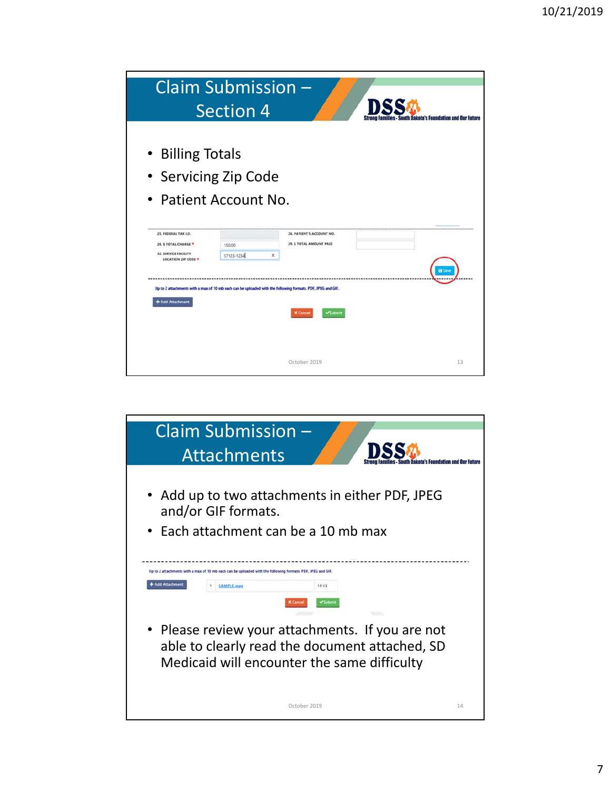|                                                                                              | Claim Submission -<br><b>Section 4</b>                                                                      |                                                       | South Dakota's Foundation and Our Future |
|----------------------------------------------------------------------------------------------|-------------------------------------------------------------------------------------------------------------|-------------------------------------------------------|------------------------------------------|
| • Billing Totals<br>25. FEDERAL TAX LD.<br>28. S TOTAL CHARGE<br><b>32. SERVICE FACILITY</b> | • Servicing Zip Code<br>• Patient Account No.<br>150.00<br>57123-1234<br>×                                  | 26. PATIENT'S ACCOUNT NO.<br>29. \$ TOTAL AMOUNT PAID |                                          |
| <b>LOCATION ZIP CODE *</b><br>+ Add Attachment                                               | Up to 2 attachments with a max of 10 mb each can be uploaded with the following formats. PDF, JPEG and GIF. | <b>X</b> Cance<br>October 2019                        | El Sav<br>13                             |

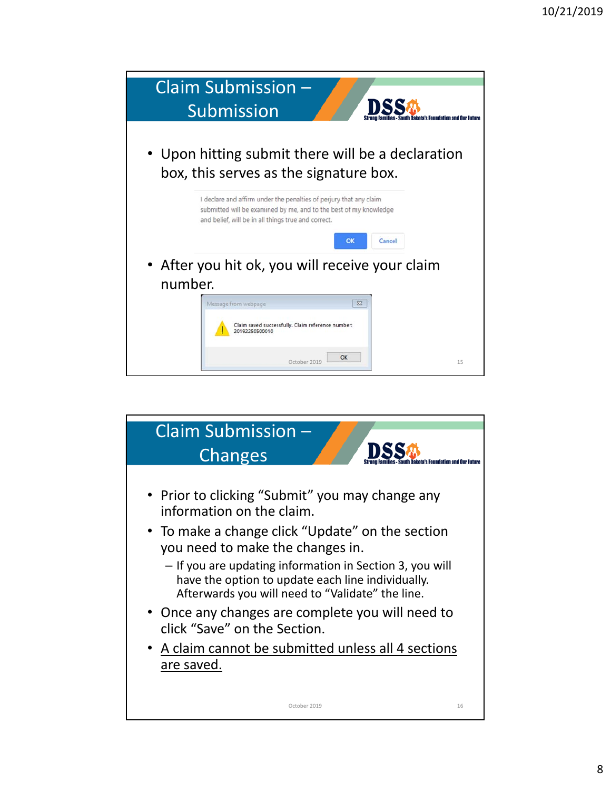

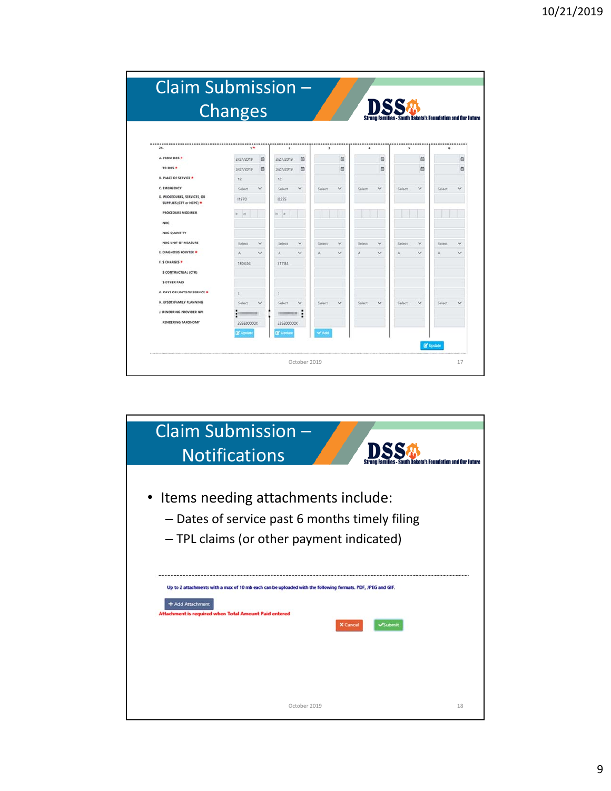|                                                         | <b>Changes</b>   |              |                  |              |             |              |                      |              | DSS    |              |                                                   |              |
|---------------------------------------------------------|------------------|--------------|------------------|--------------|-------------|--------------|----------------------|--------------|--------|--------------|---------------------------------------------------|--------------|
|                                                         |                  |              |                  |              |             |              |                      |              |        |              | milies - South Dakota's Foundation and Our Future |              |
| 24.                                                     | $1*$             |              | $\mathbf{z}$     |              | $\mathbf 1$ |              | $\ddot{\phantom{a}}$ |              | s      |              | s.                                                | -----        |
| A. FROM DOS .                                           | 3/27/2019        | 曲            | 3/27/2019        | 曲            |             | 茴            |                      | 曲            |        | ö            |                                                   | 曲            |
| TO DOS $\bullet$                                        | 3/27/2019        | 茴            | 3/27/2019        | 曲            |             | 茴            |                      | 茴            |        | 曲            |                                                   | 茴            |
| <b>B. PLACE OF SERVICE *</b>                            | 12               |              | 12               |              |             |              |                      |              |        |              |                                                   |              |
| <b>C. EMERGENCY</b>                                     | Select           | v            | Select           | $\checkmark$ | Select      | v            | Select               | v            | Select | v            | Select                                            | v            |
| D. PROCEDURES, SERVICES, OR<br>SUPPLIES (CPT or HCPC) * | 11970            |              | 12275            |              |             |              |                      |              |        |              |                                                   |              |
| <b><i>PROCEDURE MODIFIER</i></b>                        | <b>int</b>       |              | is<br><b>Int</b> |              |             |              |                      |              |        |              |                                                   |              |
| NDC                                                     |                  |              |                  |              |             |              |                      |              |        |              |                                                   |              |
| <b>NDC QUANTITY</b>                                     |                  |              |                  |              |             |              |                      |              |        |              |                                                   |              |
| NDC UNIT OF MEASURE                                     | Select           | $\checkmark$ | Select           | $\checkmark$ | Select      | $\checkmark$ | Select               | $\checkmark$ | Select | $\checkmark$ | Select                                            | $\checkmark$ |
| E. DIAGNOSIS POINTER *                                  | Ä                | $\checkmark$ | A                | $\checkmark$ | A           | $\checkmark$ | Ä                    | $\checkmark$ | Ä      | v            | A                                                 | $\checkmark$ |
| <b>F.S CHARGES *</b>                                    | 1594.94          |              | 317.84           |              |             |              |                      |              |        |              |                                                   |              |
| <b>\$ CONTRACTUAL (CTR)</b>                             |                  |              |                  |              |             |              |                      |              |        |              |                                                   |              |
| <b>S OTHER PAID</b>                                     |                  |              |                  |              |             |              |                      |              |        |              |                                                   |              |
| <b>G. DAYS OR UNITS OF SERVICE *</b>                    | 1                |              | ٠                |              |             |              |                      |              |        |              |                                                   |              |
| H. EPSDT/FAMILY PLANNING                                | Select           | u            | Select           | $\checkmark$ | Select      | $\checkmark$ | Select               | v            | Select | $\checkmark$ | Select                                            | $\checkmark$ |
| J. RENDERING PROVIDER NPL                               |                  |              |                  | ٠<br>٠       |             |              |                      |              |        |              |                                                   |              |
| <b>RENDERING TAXONOMY</b>                               | 335E00000X       |              | 335E00000X       |              |             |              |                      |              |        |              |                                                   |              |
|                                                         | <b>DF</b> Update |              | <b>C</b> Update  |              | <b>VAdd</b> |              |                      |              |        |              |                                                   |              |
|                                                         |                  |              |                  |              |             |              |                      |              |        |              |                                                   |              |

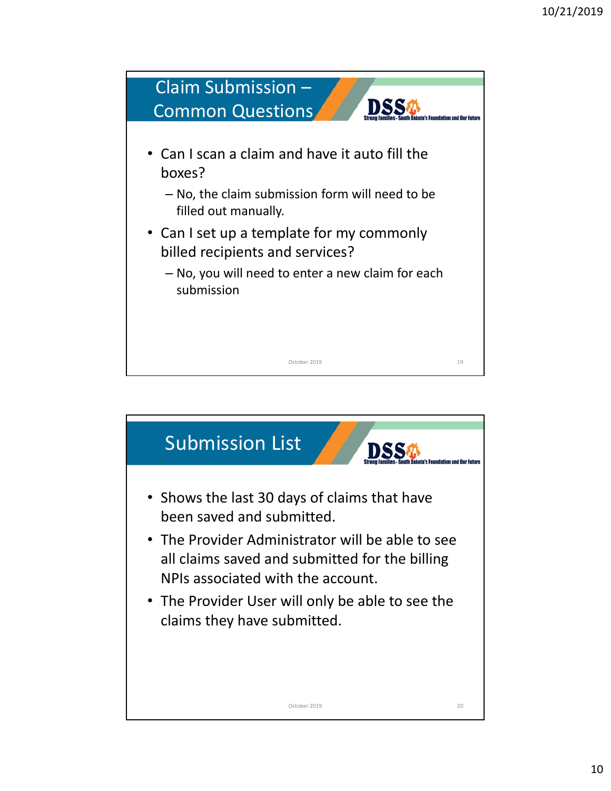

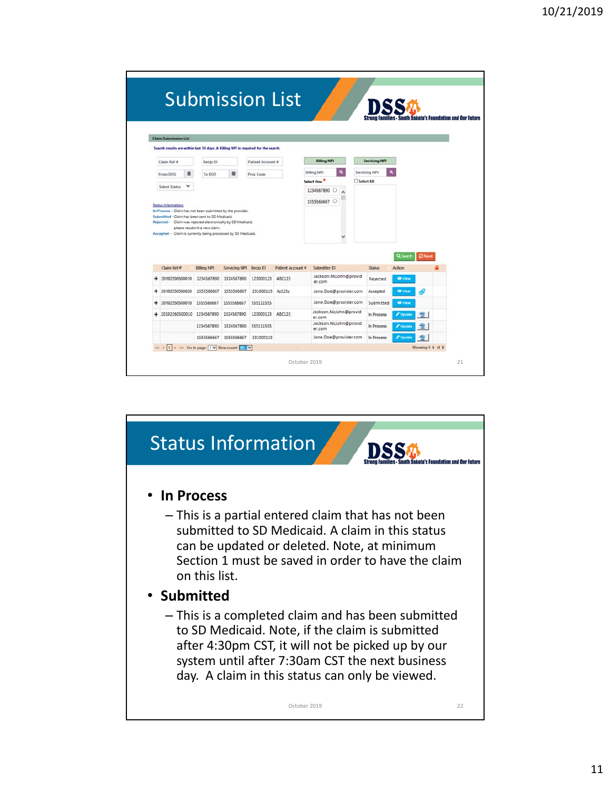|   |                                                                                   |                                                                                 |                                                            |                   |                   |                                  |            |                      |                |                | <b>South Dakota's Foundation and Our Future</b> |
|---|-----------------------------------------------------------------------------------|---------------------------------------------------------------------------------|------------------------------------------------------------|-------------------|-------------------|----------------------------------|------------|----------------------|----------------|----------------|-------------------------------------------------|
|   |                                                                                   |                                                                                 |                                                            |                   |                   |                                  |            |                      |                |                |                                                 |
|   |                                                                                   |                                                                                 |                                                            |                   |                   |                                  |            |                      |                |                |                                                 |
|   | <b>Claim Submission List</b>                                                      |                                                                                 |                                                            |                   |                   |                                  |            |                      |                |                |                                                 |
|   | Search results are within last 30 days. A Billing NPI is required for the search. |                                                                                 |                                                            |                   |                   |                                  |            |                      |                |                |                                                 |
|   | Claim Ref #                                                                       | Recip ID                                                                        |                                                            | Patient Account # |                   | <b>Billing NPI</b>               |            | <b>Servicing NPI</b> |                |                |                                                 |
|   | From DOS                                                                          | To DOS                                                                          |                                                            | Proc Code         |                   | $\alpha$<br><b>Billing NPI</b>   |            | Servicing NPI        | $\alpha$       |                |                                                 |
|   | Select Status<br>$\checkmark$                                                     |                                                                                 |                                                            |                   |                   | Select One                       | Select All |                      |                |                |                                                 |
|   |                                                                                   |                                                                                 |                                                            |                   |                   | 1234567890                       |            |                      |                |                |                                                 |
|   | <b>Status Information:</b>                                                        |                                                                                 |                                                            |                   |                   | 1555566667 C                     |            |                      |                |                |                                                 |
|   | Rejected - Claim was rejected electronically by SD Medicaid.                      | Submitted - Claim has been sent to SD Medicaid.<br>please resubmit a new claim. | In Process - Claim has not been submitted by the provider. |                   |                   |                                  |            |                      |                |                |                                                 |
|   | Accepted - Claim is currently being processed by SD Medicaid.                     |                                                                                 |                                                            |                   |                   |                                  |            |                      | Q Search       | <b>C</b> Reset |                                                 |
|   | Claim Ref #                                                                       | <b>Billing NPI</b>                                                              | Servicing NPI                                              | Recip ID          | Patient Account # | Submitter ID                     |            | <b>Status</b>        | Action         |                |                                                 |
| ÷ | 20192200500010                                                                    | 1234567890                                                                      | 1324567890                                                 | 123000123         | ABC123            | Jackson, McJohn@provid<br>er.com |            | Rejected             | <b>O</b> View  |                |                                                 |
| ÷ | 20192250500020                                                                    | 1555566667                                                                      | 1555566667                                                 | 231000123 Xy123z  |                   | Jane.Doe@provider.com            |            | Accepted             | <b>CD</b> View |                |                                                 |
| ÷ | 20192250500010                                                                    | 1555566667                                                                      | 1555566667                                                 | 555111555         |                   | Jane.Doe@provider.com            |            | Submitted            | <b>O</b> View  |                |                                                 |
| ÷ | 20192260500010                                                                    | 1234567890                                                                      | 1324567890                                                 | 123000123         | ABC123            | Jackson.McJohn@provid<br>er.com  |            | In Process           | Update         | 窗              |                                                 |
|   |                                                                                   | 1234567890                                                                      | 1324567890                                                 | 555111555         |                   | Jackson.McJohn@provid<br>er.com  |            | In Process           | Update         |                |                                                 |

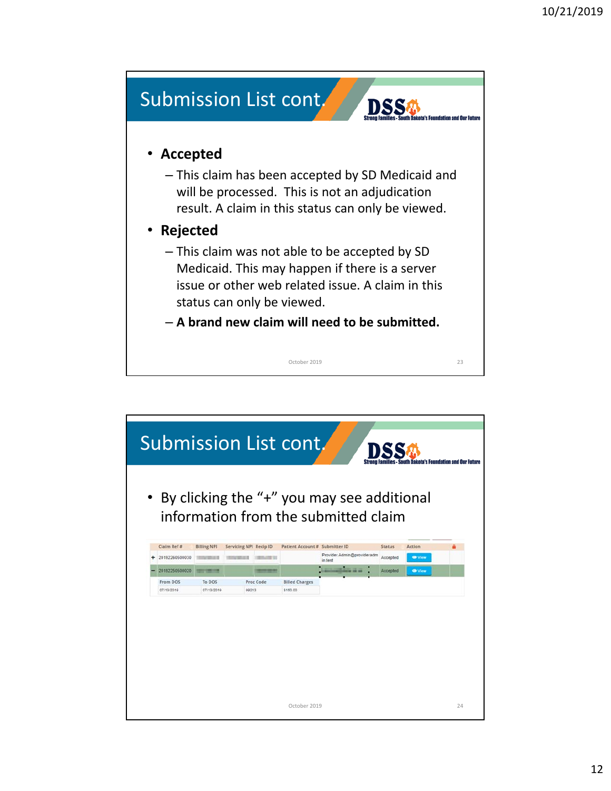

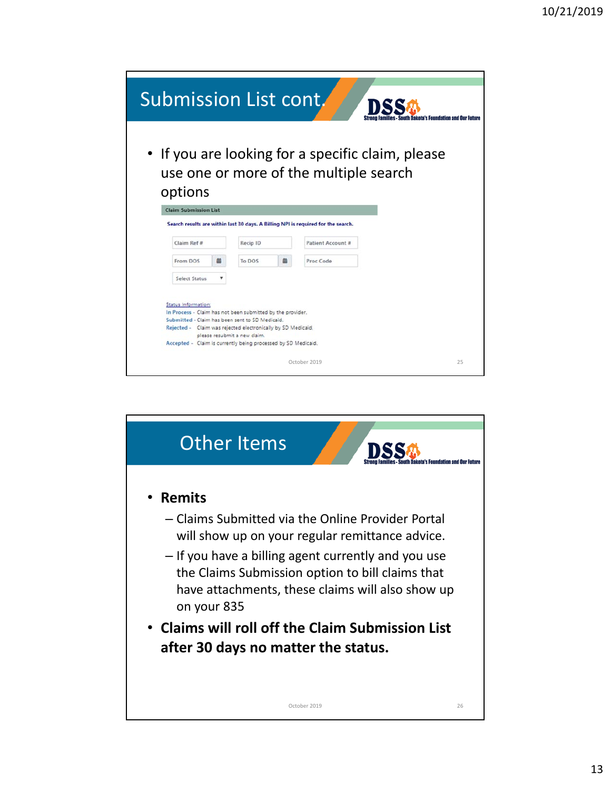| Submission List cont.      |                              |                                                                                                               |   |                                                                                   |                                                  |    |
|----------------------------|------------------------------|---------------------------------------------------------------------------------------------------------------|---|-----------------------------------------------------------------------------------|--------------------------------------------------|----|
|                            |                              |                                                                                                               |   |                                                                                   |                                                  |    |
|                            |                              |                                                                                                               |   |                                                                                   | ilies - South Dakota's Foundation and Our Future |    |
|                            |                              |                                                                                                               |   |                                                                                   |                                                  |    |
|                            |                              |                                                                                                               |   |                                                                                   | If you are looking for a specific claim, please  |    |
|                            |                              |                                                                                                               |   |                                                                                   |                                                  |    |
|                            |                              |                                                                                                               |   | use one or more of the multiple search                                            |                                                  |    |
| options                    |                              |                                                                                                               |   |                                                                                   |                                                  |    |
|                            | <b>Claim Submission List</b> |                                                                                                               |   |                                                                                   |                                                  |    |
|                            |                              |                                                                                                               |   | Search results are within last 30 days. A Billing NPI is required for the search. |                                                  |    |
| Claim Ref #                |                              | Recip ID                                                                                                      |   | Patient Account #                                                                 |                                                  |    |
|                            |                              |                                                                                                               |   |                                                                                   |                                                  |    |
| From DOS                   | 譱                            | To DOS                                                                                                        | 譱 | Proc Code                                                                         |                                                  |    |
|                            | ۳<br>Select Status           |                                                                                                               |   |                                                                                   |                                                  |    |
|                            |                              |                                                                                                               |   |                                                                                   |                                                  |    |
| <b>Status Information:</b> |                              |                                                                                                               |   |                                                                                   |                                                  |    |
|                            |                              | In Process - Claim has not been submitted by the provider.<br>Submitted - Claim has been sent to SD Medicaid. |   |                                                                                   |                                                  |    |
|                            |                              | Rejected - Claim was rejected electronically by SD Medicaid,                                                  |   |                                                                                   |                                                  |    |
|                            |                              | please resubmit a new claim.                                                                                  |   |                                                                                   |                                                  |    |
|                            |                              | Accepted - Claim is currently being processed by SD Medicaid.                                                 |   |                                                                                   |                                                  |    |
|                            |                              |                                                                                                               |   | October 2019                                                                      |                                                  | 25 |

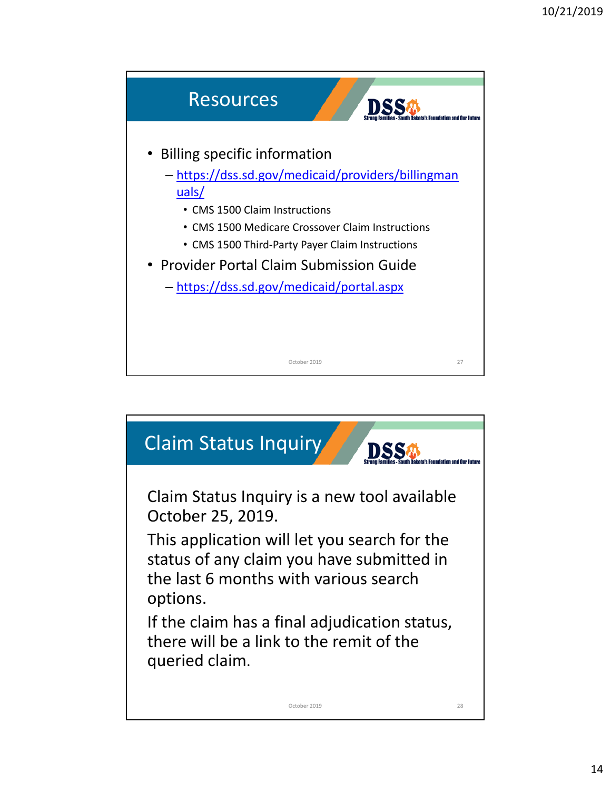

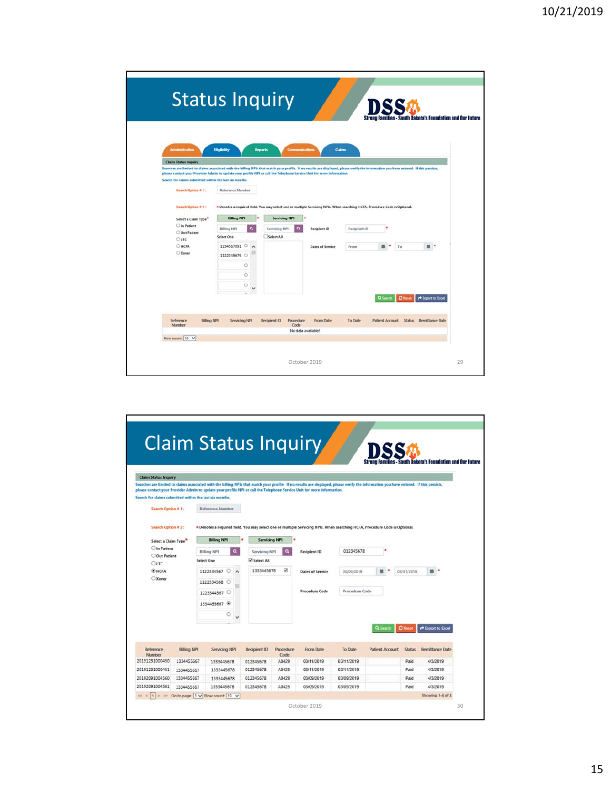|                                                                                                                                                                                                                                                                                                                   | <b>Status Inquiry</b>          |                                                                                                                             |                         |              |                               |                                                                   |
|-------------------------------------------------------------------------------------------------------------------------------------------------------------------------------------------------------------------------------------------------------------------------------------------------------------------|--------------------------------|-----------------------------------------------------------------------------------------------------------------------------|-------------------------|--------------|-------------------------------|-------------------------------------------------------------------|
|                                                                                                                                                                                                                                                                                                                   |                                |                                                                                                                             |                         |              |                               | <b>Strong Families - South Dakota's Foundation and Our Future</b> |
|                                                                                                                                                                                                                                                                                                                   |                                |                                                                                                                             |                         |              |                               |                                                                   |
|                                                                                                                                                                                                                                                                                                                   |                                |                                                                                                                             |                         |              |                               |                                                                   |
| <b>Administration</b>                                                                                                                                                                                                                                                                                             | <b>Eligibility</b>             | Communication<br><b>Reports</b>                                                                                             | <b>Claims</b>           |              |                               |                                                                   |
| <b>Claim Status Inquiry</b>                                                                                                                                                                                                                                                                                       |                                |                                                                                                                             |                         |              |                               |                                                                   |
| Searches are limited to claims associated with the billing NPIs that match your profile. If no results are displayed, please verify the information you have entered. If this persists,<br>please contact your Provider Admin to update your profile NPI or call the Telephone Service Unit for more information. |                                |                                                                                                                             |                         |              |                               |                                                                   |
| Search for claims submitted within the last six months.                                                                                                                                                                                                                                                           |                                |                                                                                                                             |                         |              |                               |                                                                   |
| Search Option # 1:                                                                                                                                                                                                                                                                                                | Reference Number               |                                                                                                                             |                         |              |                               |                                                                   |
|                                                                                                                                                                                                                                                                                                                   |                                |                                                                                                                             |                         |              |                               |                                                                   |
| Search Option # 2 :                                                                                                                                                                                                                                                                                               |                                | * Denotes a required field. You may select one or multiple Servicing NPIs. When searching HCFA, Procedure Code is Optional. |                         |              |                               |                                                                   |
| Select a Claim Type"                                                                                                                                                                                                                                                                                              | <b>Billing NPI</b>             | <b>Servicing NPI</b>                                                                                                        |                         |              |                               |                                                                   |
| C In Patient                                                                                                                                                                                                                                                                                                      | $\alpha$<br><b>Billing NPI</b> | Servicing NPI                                                                                                               | Recipient ID            | Recipient ID |                               |                                                                   |
| O Out Patient<br>$O$ <sub>LTC</sub>                                                                                                                                                                                                                                                                               | <b>Select One</b>              | Select All                                                                                                                  |                         |              |                               |                                                                   |
| OHCFA                                                                                                                                                                                                                                                                                                             | 1234567891                     |                                                                                                                             | <b>Dates of Service</b> | From         | 盖<br>٠<br>To                  |                                                                   |
| <b>O</b> Xover                                                                                                                                                                                                                                                                                                    | 1122345679 0                   |                                                                                                                             |                         |              |                               |                                                                   |
|                                                                                                                                                                                                                                                                                                                   | $\circ$                        |                                                                                                                             |                         |              |                               |                                                                   |
|                                                                                                                                                                                                                                                                                                                   | $\circ$                        |                                                                                                                             |                         |              |                               |                                                                   |
|                                                                                                                                                                                                                                                                                                                   | $\circ$                        |                                                                                                                             |                         |              |                               |                                                                   |
|                                                                                                                                                                                                                                                                                                                   |                                |                                                                                                                             |                         |              |                               |                                                                   |
|                                                                                                                                                                                                                                                                                                                   |                                |                                                                                                                             |                         |              | Q Search<br><b>C</b> Reset    | <b>P</b> Export to Excel                                          |
|                                                                                                                                                                                                                                                                                                                   |                                |                                                                                                                             |                         |              |                               |                                                                   |
| Reference<br>Billing NPI                                                                                                                                                                                                                                                                                          | Servicing NPI                  | Recipient ID<br>Procedure                                                                                                   | From Date               | To Date      | <b>Patient Account Status</b> | <b>Remittance Date</b>                                            |
| Number                                                                                                                                                                                                                                                                                                            |                                | Code<br>No data available!                                                                                                  |                         |              |                               |                                                                   |
| Row count: 10 V                                                                                                                                                                                                                                                                                                   |                                |                                                                                                                             |                         |              |                               |                                                                   |
|                                                                                                                                                                                                                                                                                                                   |                                |                                                                                                                             |                         |              |                               |                                                                   |
|                                                                                                                                                                                                                                                                                                                   |                                |                                                                                                                             |                         |              |                               |                                                                   |

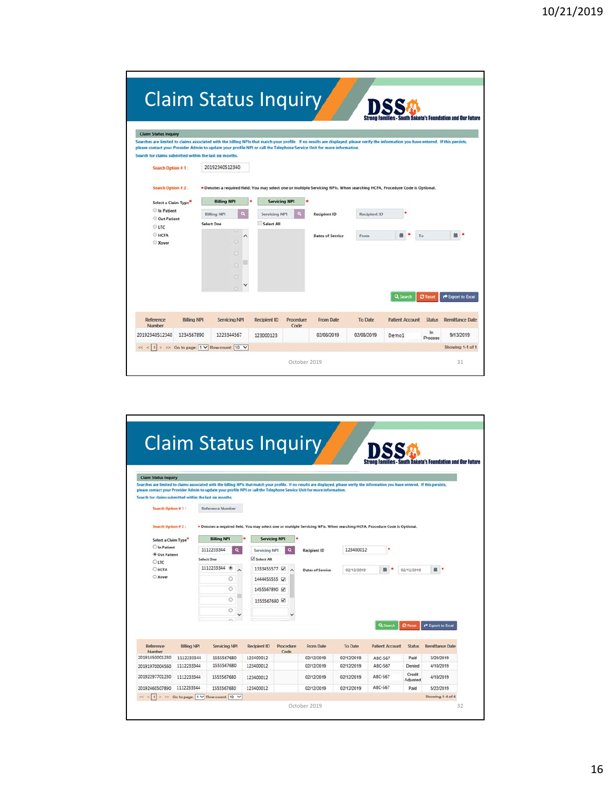| Claim Status Inquiry                                                                                                                                                                                                                                                                                                                                                                                                                                                                                                                     |                                                                                 |                                                                                                                                                                                                   |                      |                                         |                      |                        |                      | <b>South Dakota's Foundation and Our Future</b> |
|------------------------------------------------------------------------------------------------------------------------------------------------------------------------------------------------------------------------------------------------------------------------------------------------------------------------------------------------------------------------------------------------------------------------------------------------------------------------------------------------------------------------------------------|---------------------------------------------------------------------------------|---------------------------------------------------------------------------------------------------------------------------------------------------------------------------------------------------|----------------------|-----------------------------------------|----------------------|------------------------|----------------------|-------------------------------------------------|
| <b>Claim Status Inquiry</b><br>Searches are limited to claims associated with the billing NPIs that match your profile. If no results are displayed, please verify the information you have entered. If this persists,<br>please contact your Provider Admin to update your profile NPI or call the Telephone Service Unit for more information.<br>Search for claims submitted within the last six months.<br>Search Option # 1:<br>Search Option # 2:<br>Select a Claim Type"<br>In Patient<br>Out Patient<br>$O$ LTC<br>HCFA<br>Xover | 20192340512340<br><b>Billing NPI</b><br><b>Billing NPI</b><br><b>Select One</b> | * Denotes a required field. You may select one or multiple Servicing NPIs. When searching HCFA. Procedure Code is Optional.<br>$\bullet$<br>Servicing NPI<br>Select All<br>o<br>٥<br>o<br>$\circ$ | <b>Servicing NPI</b> | <b>Recipient ID</b><br>Dates of Service | Recipient ID<br>From | Q Search               | To<br><b>C</b> Reset | P Export to Excel                               |
| Reference<br><b>Billing NPI</b><br>Number                                                                                                                                                                                                                                                                                                                                                                                                                                                                                                | Servicing NPI                                                                   | <b>Recipient ID</b>                                                                                                                                                                               | Procedure<br>Code    | From Date                               | <b>To Date</b>       | <b>Patient Account</b> | <b>Status</b>        | <b>Remittance Date</b>                          |
| 20192340512340<br>1234567890                                                                                                                                                                                                                                                                                                                                                                                                                                                                                                             | 1223344567                                                                      | 123000123                                                                                                                                                                                         |                      | 02/08/2019                              | 02/08/2019           | Demo1                  | In<br>Process        | 9/13/2019                                       |
|                                                                                                                                                                                                                                                                                                                                                                                                                                                                                                                                          |                                                                                 | >> Go to page: 1 V Row count: 10 V                                                                                                                                                                |                      |                                         |                      |                        |                      | Showing 1-1 of 1                                |

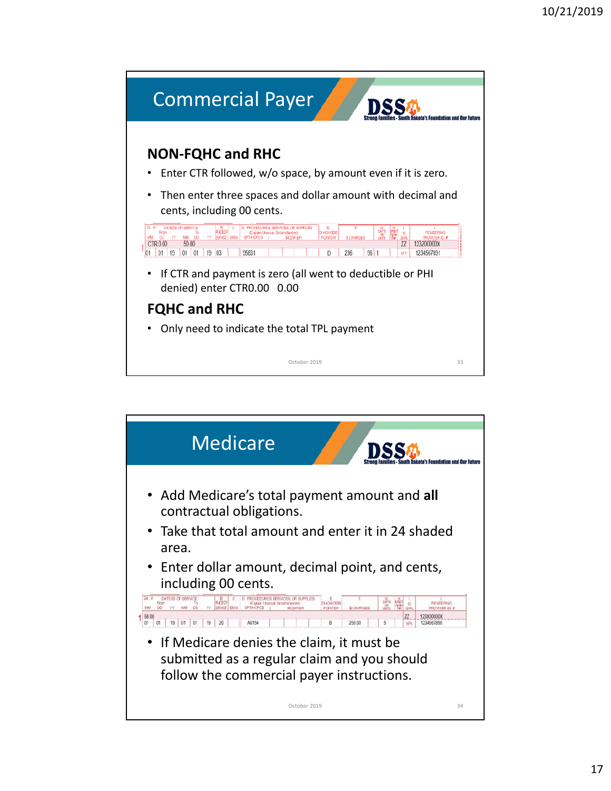

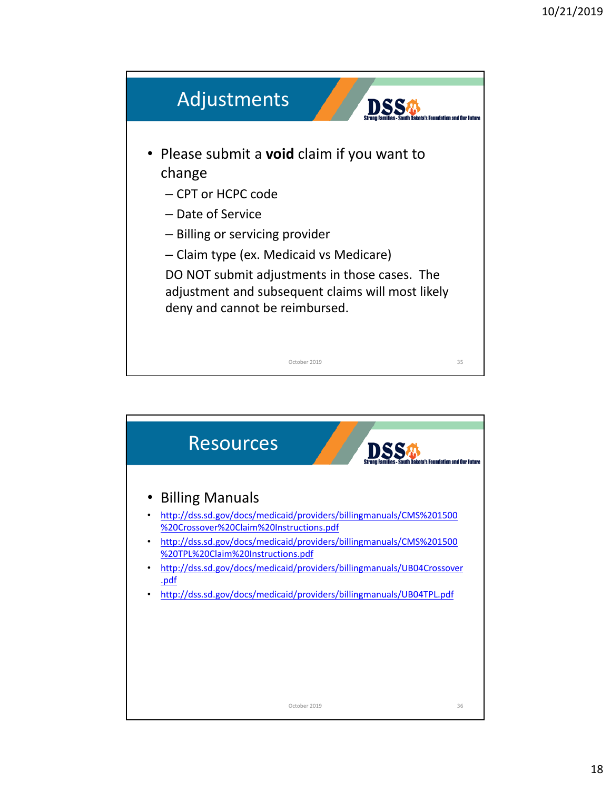